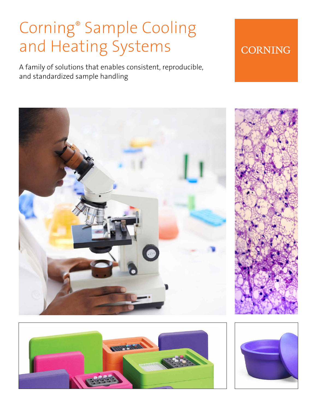# Corning® Sample Cooling and Heating Systems

A family of solutions that enables consistent, reproducible, and standardized sample handling







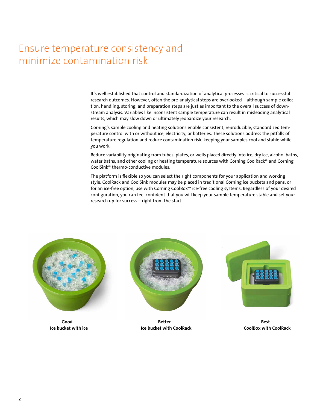# Ensure temperature consistency and minimize contamination risk

It's well established that control and standardization of analytical processes is critical to successful research outcomes. However, often the pre-analytical steps are overlooked – although sample collection, handling, storing, and preparation steps are just as important to the overall success of downstream analysis. Variables like inconsistent sample temperature can result in misleading analytical results, which may slow down or ultimately jeopardize your research.

Corning's sample cooling and heating solutions enable consistent, reproducible, standardized temperature control with or without ice, electricity, or batteries. These solutions address the pitfalls of temperature regulation and reduce contamination risk, keeping your samples cool and stable while you work.

Reduce variability originating from tubes, plates, or wells placed directly into ice, dry ice, alcohol baths, water baths, and other cooling or heating temperature sources with Corning CoolRack® and Corning CoolSink® thermo-conductive modules.

The platform is flexible so you can select the right components for your application and working style. CoolRack and CoolSink modules may be placed in traditional Corning ice buckets and pans, or for an ice-free option, use with Corning CoolBox™ ice-free cooling systems. Regardless of your desired configuration, you can feel confident that you will keep your sample temperature stable and set your research up for success—right from the start.



**Good – Ice bucket with ice**



**Better – Ice bucket with CoolRack**



**Best – CoolBox with CoolRack**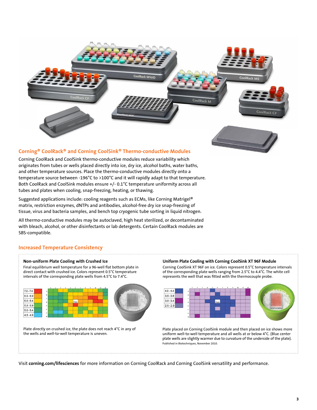

#### **Corning® CoolRack® and Corning CoolSink® Thermo-conductive Modules**

Corning CoolRack and CoolSink thermo-conductive modules reduce variability which originates from tubes or wells placed directly into ice, dry ice, alcohol baths, water baths, and other temperature sources. Place the thermo-conductive modules directly onto a temperature source between -196°C to >100°C and it will rapidly adapt to that temperature. Both CoolRack and CoolSink modules ensure +/- 0.1°C temperature uniformity across all tubes and plates when cooling, snap-freezing, heating, or thawing.

Suggested applications include: cooling reagents such as ECMs, like Corning Matrigel® matrix, restriction enzymes, dNTPs and antibodies, alcohol-free dry ice snap-freezing of tissue, virus and bacteria samples, and bench top cryogenic tube sorting in liquid nitrogen.

All thermo-conductive modules may be autoclaved, high heat sterilized, or decontaminated with bleach, alcohol, or other disinfectants or lab detergents. Certain CoolRack modules are SBS-compatible.

#### **Increased Temperature Consistency**

#### **Non-uniform Plate Cooling with Crushed Ice**

Final equilibrium well temperature for a 96-well flat bottom plate in direct contact with crushed ice. Colors represent 0.5°C temperature intervals of the corresponding plate wells from 4.5°C to 7.4°C.



Plate directly on crushed ice, the plate does not reach 4°C in any of the wells and well-to-well temperature is uneven.

#### **Uniform Plate Cooling with Corning CoolSink XT 96F Module**

Corning CoolSink XT 96F on ice. Colors represent 0.5°C temperature intervals of the corresponding plate wells ranging from 2.5°C to 4.4°C. The white cell represents the well that was fitted with the thermocouple probe.



Plate placed on Corning CoolSink module and then placed on ice shows more uniform well-to-well temperature and all wells at or below 4°C. (Blue center plate wells are slightly warmer due to curvature of the underside of the plate). Published in Biotechniques, November 2010.

Visit **corning.com/lifesciences** for more information on Corning CoolRack and Corning CoolSink versatility and performance.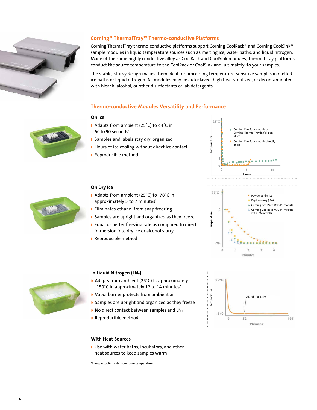![](_page_3_Picture_0.jpeg)

#### **Corning® ThermalTray™ Thermo-conductive Platforms**

Corning ThermalTray thermo-conductive platforms support Corning CoolRack® and Corning CoolSink® sample modules in liquid temperature sources such as melting ice, water baths, and liquid nitrogen. Made of the same highly conductive alloy as CoolRack and CoolSink modules, ThermalTray platforms conduct the source temperature to the CoolRack or CoolSink and, ultimately, to your samples.

The stable, sturdy design makes them ideal for processing temperature-sensitive samples in melted ice baths or liquid nitrogen. All modules may be autoclaved, high heat sterilized, or decontaminated with bleach, alcohol, or other disinfectants or lab detergents.

#### **Thermo-conductive Modules Versatility and Performance**

#### **On Ice**

- ◗ Adapts from ambient (25˚C) to <4˚C in 60 to 90 seconds\*
- ◗ Samples and labels stay dry, organized
- ◗ Hours of ice cooling without direct ice contact
- ◗ Reproducible method

![](_page_3_Figure_10.jpeg)

![](_page_3_Picture_11.jpeg)

#### **On Dry Ice**

- ◗ Adapts from ambient (25˚C) to -78˚C in approximately 5 to 7 minutes\*
- ◗ Eliminates ethanol from snap freezing
- ◗ Samples are upright and organized as they freeze
- ◗ Equal or better freezing rate as compared to direct immersion into dry ice or alcohol slurry
- ◗ Reproducible method

![](_page_3_Figure_18.jpeg)

![](_page_3_Figure_19.jpeg)

![](_page_3_Picture_20.jpeg)

#### In Liquid Nitrogen (LN<sub>2</sub>)

- ◗ Adapts from ambient (25˚C) to approximately -150˚C in approximately 12 to 14 minutes\*
- ◗ Vapor barrier protects from ambient air
- ◗ Samples are upright and organized as they freeze
- $\triangleright$  No direct contact between samples and LN<sub>2</sub>
- ◗ Reproducible method

#### **With Heat Sources**

◗ Use with water baths, incubators, and other heat sources to keep samples warm

\*Average cooling rate from room temperature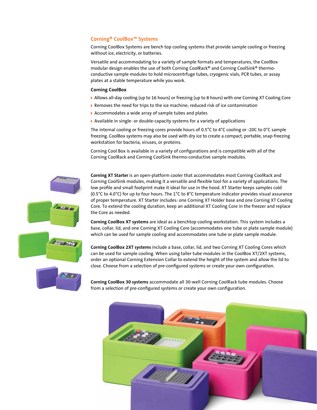#### **Corning® CoolBox™ Systems**

Corning CoolBox Systems are bench top cooling systems that provide sample cooling or freezing without ice, electricity, or batteries.

Versatile and accommodating to a variety of sample formats and temperatures, the CoolBox modular design enables the use of both Corning CoolRack® and Corning CoolSink® thermoconductive sample modules to hold microcentrfuge tubes, cryogenic vials, PCR tubes, or assay plates at a stable temperature while you work.

#### **Corning CoolBox**

- ◗ Allows all-day cooling (up to 16 hours) or freezing (up to 8 hours) with one Corning XT Cooling Core
- ◗ Removes the need for trips to the ice machine; reduced risk of ice contamination
- ◗ Accommodates a wide array of sample tubes and plates
- ◗ Available in single- or double-capacity systems for a variety of applications

The internal cooling or freezing cores provide hours of 0.5°C to 4°C cooling or -20C to 0°C sample freezing. CoolBox systems may also be used with dry ice to create a compact, portable, snap-freezing workstation for bacteria, viruses, or proteins.

Corning Cool Box is available in a variety of configurations and is compatible with all of the Corning CoolRack and Corning CoolSink thermo-conductive sample modules.

![](_page_4_Picture_10.jpeg)

**Corning XT Starter** is an open-platform cooler that accommodates most Corning CoolRack and Corning CoolSink modules, making it a versatile and flexible tool for a variety of applications. The low profile and small footprint make it ideal for use in the hood. XT Starter keeps samples cold (0.5°C to 4.0°C) for up to four hours. The 1°C to 8°C temperature indicator provides visual assurance of proper temperature. XT Starter includes: one Corning XT Holder base and one Corning XT Cooling Core. To extend the cooling duration, keep an additional XT Cooling Core in the freezer and replace the Core as needed.

**Corning CoolBox XT systems** are ideal as a benchtop cooling workstation. This system includes a base, collar, lid, and one Corning XT Cooling Core (accommodates one tube or plate sample module) which can be used for sample cooling and accommodates one tube or plate sample module.

**Corning CoolBox 2XT systems** include a base, collar, lid, and two Corning XT Cooling Cores which can be used for sample cooling. When using taller tube modules in the CoolBox XT/2XT systems, order an optional Corning Extension Collar to extend the height of the system and allow the lid to close. Choose from a selection of pre-configured systems or create your own configuration.

**Corning CoolBox 30 systems** accommodate all 30-well Corning CoolRack tube modules. Choose from a selection of pre-configured systems or create your own configuration.

![](_page_4_Picture_15.jpeg)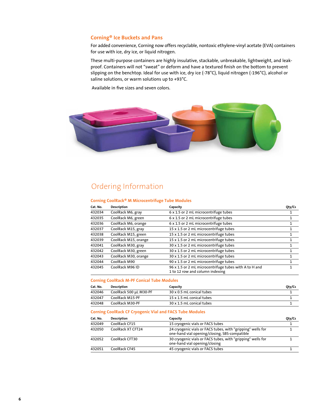#### **Corning® Ice Buckets and Pans**

For added convenience, Corning now offers recyclable, nontoxic ethylene-vinyl acetate (EVA) containers for use with ice, dry ice, or liquid nitrogen.

These multi-purpose containers are highly insulative, stackable, unbreakable, lightweight, and leakproof. Containers will not "sweat" or deform and have a textured finish on the bottom to prevent slipping on the benchtop. Ideal for use with ice, dry ice (-78°C), liquid nitrogen (-196°C), alcohol or saline solutions, or warm solutions up to +93°C.

Available in five sizes and seven colors.

![](_page_5_Picture_4.jpeg)

### Ordering Information

#### **Corning CoolRack® M Microcentrifuge Tube Modules**

| Cat. No. | <b>Description</b>   | Capacity                                                                                  | Oty/Cs |
|----------|----------------------|-------------------------------------------------------------------------------------------|--------|
| 432034   | CoolRack M6, gray    | 6 x 1.5 or 2 mL microcentrifuge tubes                                                     |        |
| 432035   | CoolRack M6, green   | 6 x 1.5 or 2 mL microcentrifuge tubes                                                     |        |
| 432036   | CoolRack M6, orange  | 6 x 1.5 or 2 mL microcentrifuge tubes                                                     |        |
| 432037   | CoolRack M15, gray   | 15 x 1.5 or 2 mL microcentrifuge tubes                                                    |        |
| 432038   | CoolRack M15, green  | 15 x 1.5 or 2 mL microcentrifuge tubes                                                    |        |
| 432039   | CoolRack M15, orange | 15 x 1.5 or 2 mL microcentrifuge tubes                                                    |        |
| 432041   | CoolRack M30, gray   | 30 x 1.5 or 2 mL microcentrifuge tubes                                                    |        |
| 432042   | CoolRack M30, green  | 30 x 1.5 or 2 mL microcentrifuge tubes                                                    | 1      |
| 432043   | CoolRack M30, orange | 30 x 1.5 or 2 mL microcentrifuge tubes                                                    | 1      |
| 432044   | CoolRack M90         | 90 x 1.5 or 2 mL microcentrifuge tubes                                                    |        |
| 432045   | CoolRack M96 ID      | 96 x 1.5 or 2 mL microcentrifuge tubes with A to H and<br>1 to 12 row and column indexing |        |

#### **Corning CoolRack M-PF Conical Tube Modules**

| Cat. No. | Description            | Capacity                  | Qty/Cs |
|----------|------------------------|---------------------------|--------|
| 432046   | CoolRack 500 uL M30-PF | 30 x 0.5 mL conical tubes |        |
| 432047   | CoolRack M15-PF        | 15 x 1.5 mL conical tubes |        |
| 432048   | CoolRack M30-PF        | 30 x 1.5 mL conical tubes |        |

#### **Corning CoolRack CF Cryogenic Vial and FACS Tube Modules**

| Cat. No. | <b>Description</b> | Capacity                                                                                                     | Oty/Cs |
|----------|--------------------|--------------------------------------------------------------------------------------------------------------|--------|
| 432049   | CoolRack CF15      | 15 cryogenic vials or FACS tubes                                                                             |        |
| 432050   | CoolRack XT CFT24  | 24 cryogenic vials or FACS tubes, with "gripping" wells for<br>one-hand vial opening/closing, SBS-compatible |        |
| 432052   | CoolRack CFT30     | 30 cryogenic vials or FACS tubes, with "gripping" wells for<br>one-hand vial opening/closing                 |        |
| 432051   | CoolRack CF45      | 45 cryogenic vials or FACS tubes                                                                             |        |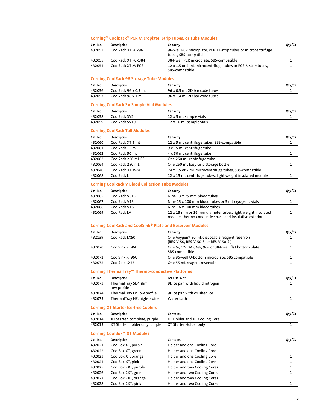#### **Corning® CoolRack® PCR Microplate, Strip Tubes, or Tube Modules**

| Cat. No. | <b>Description</b> | Capacity                                                                               | Oty/Cs |
|----------|--------------------|----------------------------------------------------------------------------------------|--------|
| 432053   | CoolRack XT PCR96  | 96-well PCR microplate, PCR 12-strip tubes or microcentrifuge<br>tubes, SBS-compatible |        |
| 432055   | CoolRack XT PCR384 | 384-well PCR microplate, SBS-compatible                                                |        |
| 432054   | CoolRack XT M-PCR  | 12 x 1.5 or 2 mL microcentrifuge tubes or PCR 6-strip tubes,<br>SBS-compatible         |        |

#### **Corning CoolRack 96 Storage Tube Modules**

| Cat. No. | Description          | Capacity                      | Oty/Cs |
|----------|----------------------|-------------------------------|--------|
| 432056   | CoolRack 96 x 0.5 mL | 96 x 0.5 mL 2D bar code tubes |        |
| 432057   | CoolRack 96 x 1 mL   | 96 x 1.4 mL 2D bar code tubes |        |

#### **Corning CoolRack SV Sample Vial Modules**

| Cat. No. | Description   | Capacity                | Oty/Cs |
|----------|---------------|-------------------------|--------|
| 432058   | CoolRack SV2  | 12 x 5 mL sample vials  |        |
| 432059   | CoolRack SV10 | 12 x 10 mL sample vials |        |

#### **Corning CoolRack Tall Modules**

| <b>Description</b> | Capacity                                                   | Qty/Cs |
|--------------------|------------------------------------------------------------|--------|
| CoolRack XT 5 mL   | 12 x 5 mL centrifuge tubes, SBS-compatible                 |        |
| CoolRack 15 mL     | 9 x 15 mL centrifuge tube                                  |        |
| CoolRack 50 mL     | 4 x 50 mL centrifuge tube                                  |        |
| CoolRack 250 mL PF | One 250 mL centrifuge tube                                 |        |
| CoolRack 250 mL    | One 250 mL Easy Grip storage bottle                        |        |
| CoolRack XT M24    | 24 x 1.5 or 2 mL microcentrifuge tubes, SBS-compatible     |        |
| CoolRack L         | 12 x 15 mL centrifuge tubes, light weight insulated module |        |
|                    |                                                            |        |

#### **Corning CoolRack V Blood Collection Tube Modules**

| Cat. No. | <b>Description</b> | Capacity                                                                                                             | Oty/Cs |
|----------|--------------------|----------------------------------------------------------------------------------------------------------------------|--------|
| 432065   | CoolRack VS13      | Nine 13 x 75 mm blood tubes                                                                                          |        |
| 432067   | CoolRack V13       | Nine 13 x 100 mm blood tubes or 5 mL cryogenic vials                                                                 |        |
| 432066   | CoolRack V16       | Nine 16 x 100 mm blood tubes                                                                                         |        |
| 432069   | CoolRack LV        | 12 x 13 mm or 16 mm diameter tubes, light weight insulated<br>module, thermo-conductive base and insulative exterior |        |

#### **Corning CoolRack and CoolSink® Plate and Reservoir Modules**

| Cat. No. | <b>Description</b> | Capacity                                                                                             | Oty/Cs |
|----------|--------------------|------------------------------------------------------------------------------------------------------|--------|
| 432139   | CoolRack LX50      | One Axygen <sup>®</sup> 50 mL disposable reagent reservoir<br>(RES-V-50, RES-V-50-S, or RES-V-50-SI) |        |
| 432070   | CoolSink XT96F     | One 6-, 12-, 24-, 48-, 96-, or 384-well flat bottom plate,<br>SBS-compatible                         |        |
| 432071   | CoolSink XT96U     | One 96-well U-bottom microplate, SBS compatible                                                      |        |
| 432072   | CoolSink LX55      | One 55 mL reagent reservoir                                                                          |        |

#### **Corning ThermalTray™ Thermo-conductive Platforms**

| Cat. No. | Description                           | For Use With                    | Oty/Cs |
|----------|---------------------------------------|---------------------------------|--------|
| 432073   | ThermalTray SLP, slim,<br>low profile | 9L ice pan with liquid nitrogen |        |
| 432074   | ThermalTray LP, low profile           | 9L ice pan with crushed ice     |        |
| 432075   | ThermalTray HP, high-profile          | Water bath                      |        |

#### **Corning XT Starter Ice-free Coolers**

| Cat. No. | Description                                            | Contains                      | Oty/Cs |
|----------|--------------------------------------------------------|-------------------------------|--------|
| 432014   | XT Starter, complete, purple                           | XT Holder and XT Cooling Core |        |
| 432015   | XT Starter, holder only, purple XT Starter Holder only |                               |        |

#### **Corning CoolBox™ XT Modules**

| Cat. No. | <b>Description</b>  | Contains                     | Qty/Cs |
|----------|---------------------|------------------------------|--------|
| 432021   | CoolBox XT, purple  | Holder and one Cooling Core  |        |
| 432022   | CoolBox XT, green   | Holder and one Cooling Core  |        |
| 432023   | CoolBox XT, orange  | Holder and one Cooling Core  |        |
| 432024   | CoolBox XT, pink    | Holder and one Cooling Core  |        |
| 432025   | CoolBox 2XT, purple | Holder and two Cooling Cores |        |
| 432026   | CoolBox 2XT, green  | Holder and two Cooling Cores |        |
| 432027   | CoolBox 2XT, orange | Holder and two Cooling Cores |        |
| 432028   | CoolBox 2XT, pink   | Holder and two Cooling Cores |        |
|          |                     |                              |        |